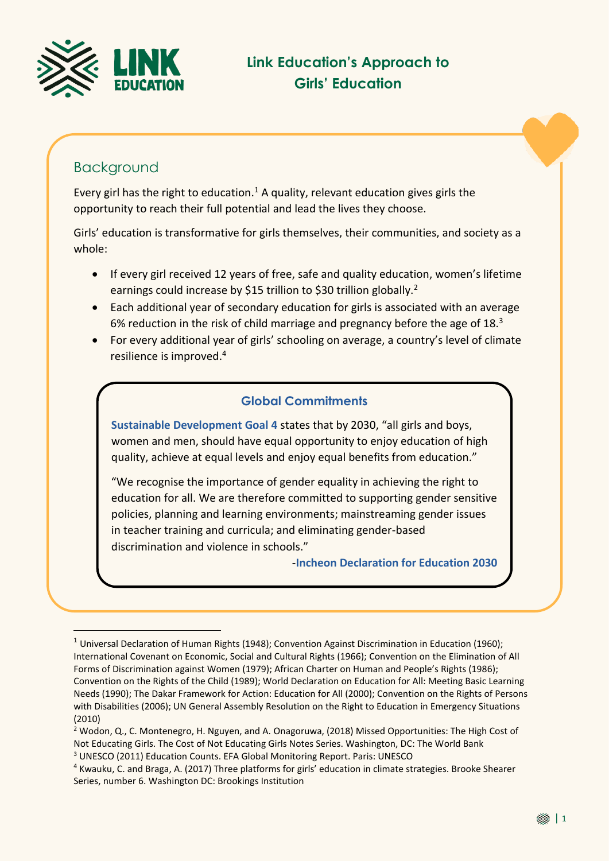

## Background

<u>.</u>

Every girl has the right to education. $1$  A quality, relevant education gives girls the opportunity to reach their full potential and lead the lives they choose.

Girls' education is transformative for girls themselves, their communities, and society as a whole:

- If every girl received 12 years of free, safe and quality education, women's lifetime earnings could increase by \$15 trillion to \$30 trillion globally.<sup>2</sup>
- Each additional year of secondary education for girls is associated with an average 6% reduction in the risk of child marriage and pregnancy before the age of  $18<sup>3</sup>$
- For every additional year of girls' schooling on average, a country's level of climate resilience is improved. 4

#### **Global Commitments**

**Sustainable Development Goal 4** states that by 2030, "all girls and boys, women and men, should have equal opportunity to enjoy education of high quality, achieve at equal levels and enjoy equal benefits from education."

"We recognise the importance of gender equality in achieving the right to education for all. We are therefore committed to supporting gender sensitive policies, planning and learning environments; mainstreaming gender issues in teacher training and curricula; and eliminating gender-based discrimination and violence in schools."

-**Incheon Declaration for Education 2030**

<sup>&</sup>lt;sup>1</sup> Universal Declaration of Human Rights (1948); Convention Against Discrimination in Education (1960); International Covenant on Economic, Social and Cultural Rights (1966); Convention on the Elimination of All Forms of Discrimination against Women (1979); African Charter on Human and People's Rights (1986); Convention on the Rights of the Child (1989); World Declaration on Education for All: Meeting Basic Learning Needs (1990); The Dakar Framework for Action: Education for All (2000); Convention on the Rights of Persons with Disabilities (2006); UN General Assembly Resolution on the Right to Education in Emergency Situations (2010)

<sup>2</sup> Wodon, Q., C. Montenegro, H. Nguyen, and A. Onagoruwa, (2018) Missed Opportunities: The High Cost of Not Educating Girls. The Cost of Not Educating Girls Notes Series. Washington, DC: The World Bank

<sup>3</sup> UNESCO (2011) Education Counts. EFA Global Monitoring Report. Paris: UNESCO

<sup>4</sup> Kwauku, C. and Braga, A. (2017) Three platforms for girls' education in climate strategies. Brooke Shearer Series, number 6. Washington DC: Brookings Institution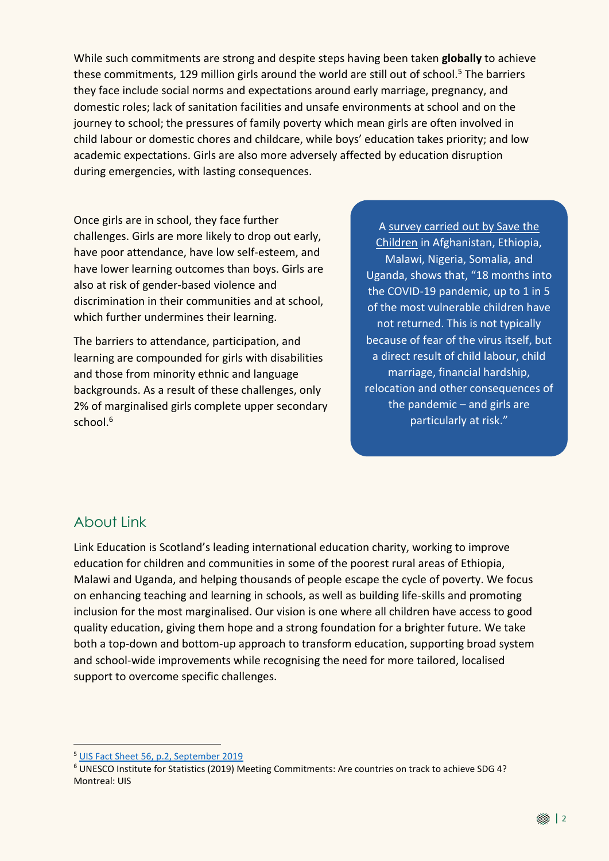While such commitments are strong and despite steps having been taken **globally** to achieve these commitments, 129 million girls around the world are still out of school. <sup>5</sup> The barriers they face include social norms and expectations around early marriage, pregnancy, and domestic roles; lack of sanitation facilities and unsafe environments at school and on the journey to school; the pressures of family poverty which mean girls are often involved in child labour or domestic chores and childcare, while boys' education takes priority; and low academic expectations. Girls are also more adversely affected by education disruption during emergencies, with lasting consequences.

Once girls are in school, they face further challenges. Girls are more likely to drop out early, have poor attendance, have low self-esteem, and have lower learning outcomes than boys. Girls are also at risk of gender-based violence and discrimination in their communities and at school, which further undermines their learning.

The barriers to attendance, participation, and learning are compounded for girls with disabilities and those from minority ethnic and language backgrounds. As a result of these challenges, only 2% of marginalised girls complete upper secondary school. 6

A survey [carried](https://echidnagiving.us14.list-manage.com/track/click?u=c3f34333398101039a0937d64&id=5551f28ff4&e=3fe768e7d1) out by Save the [Children](https://echidnagiving.us14.list-manage.com/track/click?u=c3f34333398101039a0937d64&id=5551f28ff4&e=3fe768e7d1) in Afghanistan, Ethiopia, Malawi, Nigeria, Somalia, and Uganda, shows that, "18 months into the COVID-19 pandemic, up to 1 in 5 of the most vulnerable children have not returned. This is not typically because of fear of the virus itself, but a direct result of child labour, child marriage, financial hardship, relocation and other consequences of the pandemic – and girls are particularly at risk."

### About Link

<u>.</u>

Link Education is Scotland's leading international education charity, working to improve education for children and communities in some of the poorest rural areas of Ethiopia, Malawi and Uganda, and helping thousands of people escape the cycle of poverty. We focus on enhancing teaching and learning in schools, as well as building life-skills and promoting inclusion for the most marginalised. Our vision is one where all children have access to good quality education, giving them hope and a strong foundation for a brighter future. We take both a top-down and bottom-up approach to transform education, supporting broad system and school-wide improvements while recognising the need for more tailored, localised support to overcome specific challenges.

<sup>6</sup> UNESCO Institute for Statistics (2019) Meeting Commitments: Are countries on track to achieve SDG 4? Montreal: UIS

<sup>5</sup> [UIS Fact Sheet 56, p.2, September 2019](http://uis.unesco.org/sites/default/files/documents/new-methodology-shows-258-million-children-adolescents-and-youth-are-out-school.pdf)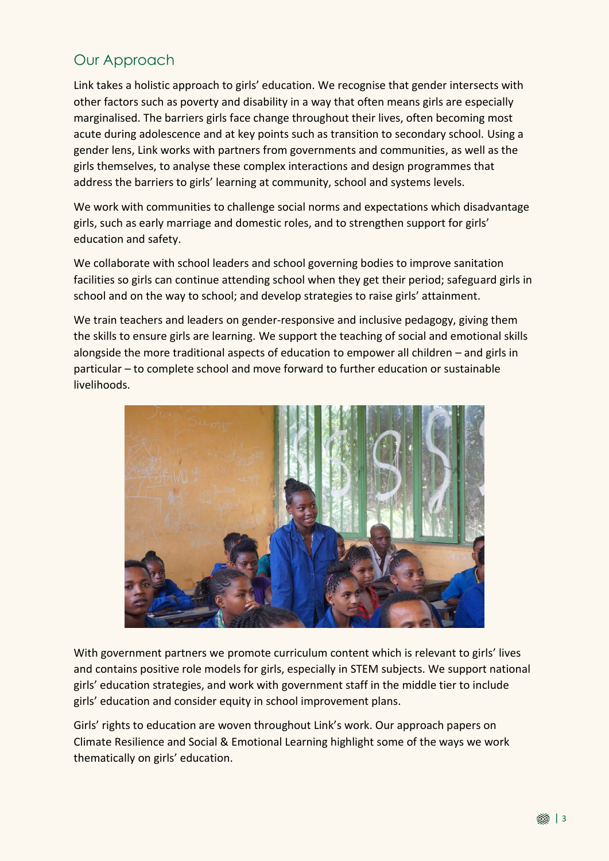# Our Approach

Link takes a holistic approach to girls' education. We recognise that gender intersects with other factors such as poverty and disability in a way that often means girls are especially marginalised. The barriers girls face change throughout their lives, often becoming most acute during adolescence and at key points such as transition to secondary school. Using a gender lens, Link works with partners from governments and communities, as well as the girls themselves, to analyse these complex interactions and design programmes that address the barriers to girls' learning at community, school and systems levels.

We work with communities to challenge social norms and expectations which disadvantage girls, such as early marriage and domestic roles, and to strengthen support for girls' education and safety.

We collaborate with school leaders and school governing bodies to improve sanitation facilities so girls can continue attending school when they get their period; safeguard girls in school and on the way to school; and develop strategies to raise girls' attainment.

We train teachers and leaders on gender-responsive and inclusive pedagogy, giving them the skills to ensure girls are learning. We support the teaching of social and emotional skills alongside the more traditional aspects of education to empower all children – and girls in particular – to complete school and move forward to further education or sustainable livelihoods.



With government partners we promote curriculum content which is relevant to girls' lives and contains positive role models for girls, especially in STEM subjects. We support national girls' education strategies, and work with government staff in the middle tier to include girls' education and consider equity in school improvement plans.

Girls' rights to education are woven throughout Link's work. Our approach papers on Climate Resilience and Social & Emotional Learning highlight some of the ways we work thematically on girls' education.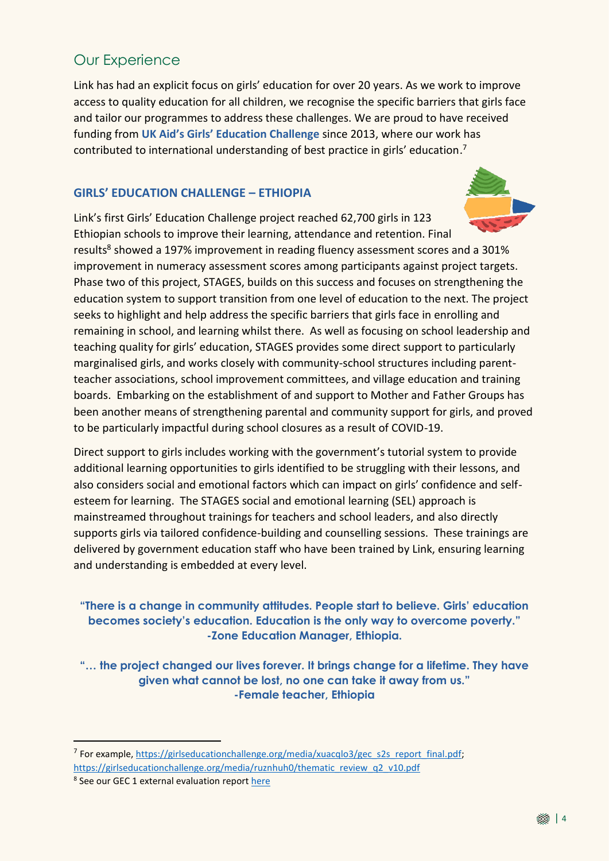# Our Experience

Link has had an explicit focus on girls' education for over 20 years. As we work to improve access to quality education for all children, we recognise the specific barriers that girls face and tailor our programmes to address these challenges. We are proud to have received funding from **UK Aid's Girls' Education Challenge** since 2013, where our work has contributed to international understanding of best practice in girls' education. 7

#### **GIRLS' EDUCATION CHALLENGE – ETHIOPIA**

Link's first Girls' Education Challenge project reached 62,700 girls in 123 Ethiopian schools to improve their learning, attendance and retention. Final results<sup>8</sup> showed a 197% improvement in reading fluency assessment scores and a 301% improvement in numeracy assessment scores among participants against project targets. Phase two of this project, STAGES, builds on this success and focuses on strengthening the education system to support transition from one level of education to the next. The project seeks to highlight and help address the specific barriers that girls face in enrolling and remaining in school, and learning whilst there. As well as focusing on school leadership and teaching quality for girls' education, STAGES provides some direct support to particularly marginalised girls, and works closely with community-school structures including parentteacher associations, school improvement committees, and village education and training boards. Embarking on the establishment of and support to Mother and Father Groups has been another means of strengthening parental and community support for girls, and proved to be particularly impactful during school closures as a result of COVID-19.

Direct support to girls includes working with the government's tutorial system to provide additional learning opportunities to girls identified to be struggling with their lessons, and also considers social and emotional factors which can impact on girls' confidence and selfesteem for learning. The STAGES social and emotional learning (SEL) approach is mainstreamed throughout trainings for teachers and school leaders, and also directly supports girls via tailored confidence-building and counselling sessions. These trainings are delivered by government education staff who have been trained by Link, ensuring learning and understanding is embedded at every level.

#### **"There is a change in community attitudes. People start to believe. Girls' education becomes society's education. Education is the only way to overcome poverty." -Zone Education Manager, Ethiopia.**

**"… the project changed our lives forever. It brings change for a lifetime. They have given what cannot be lost, no one can take it away from us." -Female teacher, Ethiopia**

<u>.</u>

<sup>&</sup>lt;sup>7</sup> For example, [https://girlseducationchallenge.org/media/xuacqlo3/gec\\_s2s\\_report\\_final.pdf;](https://girlseducationchallenge.org/media/xuacqlo3/gec_s2s_report_final.pdf) [https://girlseducationchallenge.org/media/ruznhuh0/thematic\\_review\\_q2\\_v10.pdf](https://girlseducationchallenge.org/media/ruznhuh0/thematic_review_q2_v10.pdf)

<sup>&</sup>lt;sup>8</sup> See our GEC 1 external evaluation repor[t here](https://linkeducation.org.uk/wp-content/uploads/2020/08/gec_endline_summary_brochure.pdf)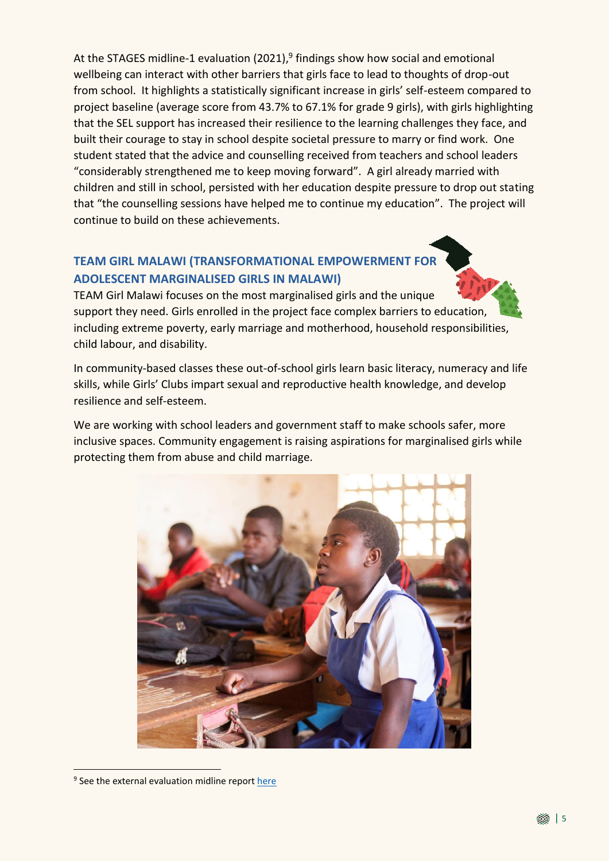At the STAGES midline-1 evaluation (2021),<sup>9</sup> findings show how social and emotional wellbeing can interact with other barriers that girls face to lead to thoughts of drop-out from school. It highlights a statistically significant increase in girls' self-esteem compared to project baseline (average score from 43.7% to 67.1% for grade 9 girls), with girls highlighting that the SEL support has increased their resilience to the learning challenges they face, and built their courage to stay in school despite societal pressure to marry or find work. One student stated that the advice and counselling received from teachers and school leaders "considerably strengthened me to keep moving forward". A girl already married with children and still in school, persisted with her education despite pressure to drop out stating that "the counselling sessions have helped me to continue my education". The project will continue to build on these achievements.

### **TEAM GIRL MALAWI (TRANSFORMATIONAL EMPOWERMENT FOR ADOLESCENT MARGINALISED GIRLS IN MALAWI)**

TEAM Girl Malawi focuses on the most marginalised girls and the unique support they need. Girls enrolled in the project face complex barriers to education, including extreme poverty, early marriage and motherhood, household responsibilities, child labour, and disability.

In community-based classes these out-of-school girls learn basic literacy, numeracy and life skills, while Girls' Clubs impart sexual and reproductive health knowledge, and develop resilience and self-esteem.

We are working with school leaders and government staff to make schools safer, more inclusive spaces. Community engagement is raising aspirations for marginalised girls while protecting them from abuse and child marriage.



<sup>&</sup>lt;sup>9</sup> See the external evaluation midline report [here](https://linkeducation.org.uk/wp-content/uploads/2022/03/Girls-Education-Results-in-Ethiopia-2022.pdf)

<u>.</u>